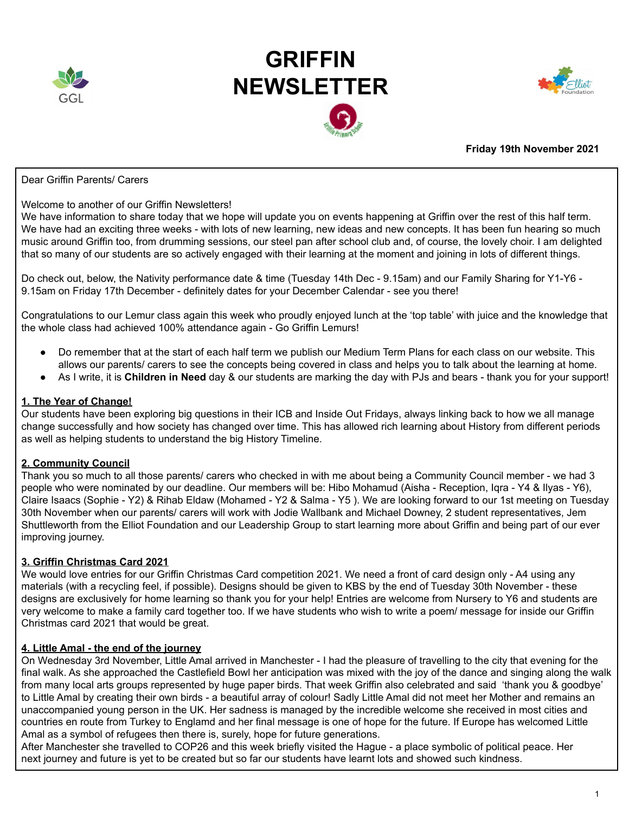

# **GRIFFIN NEWSLETTER**





# **Friday 19th November 2021**

### Dear Griffin Parents/ Carers

### Welcome to another of our Griffin Newsletters!

We have information to share today that we hope will update you on events happening at Griffin over the rest of this half term. We have had an exciting three weeks - with lots of new learning, new ideas and new concepts. It has been fun hearing so much music around Griffin too, from drumming sessions, our steel pan after school club and, of course, the lovely choir. I am delighted that so many of our students are so actively engaged with their learning at the moment and joining in lots of different things.

Do check out, below, the Nativity performance date & time (Tuesday 14th Dec - 9.15am) and our Family Sharing for Y1-Y6 - 9.15am on Friday 17th December - definitely dates for your December Calendar - see you there!

Congratulations to our Lemur class again this week who proudly enjoyed lunch at the 'top table' with juice and the knowledge that the whole class had achieved 100% attendance again - Go Griffin Lemurs!

- Do remember that at the start of each half term we publish our Medium Term Plans for each class on our website. This allows our parents/ carers to see the concepts being covered in class and helps you to talk about the learning at home.
- As I write, it is **Children in Need** day & our students are marking the day with PJs and bears thank you for your support!

# **1. The Year of Change!**

Our students have been exploring big questions in their ICB and Inside Out Fridays, always linking back to how we all manage change successfully and how society has changed over time. This has allowed rich learning about History from different periods as well as helping students to understand the big History Timeline.

# **2. Community Council**

Thank you so much to all those parents/ carers who checked in with me about being a Community Council member - we had 3 people who were nominated by our deadline. Our members will be: Hibo Mohamud (Aisha - Reception, Iqra - Y4 & Ilyas - Y6), Claire Isaacs (Sophie - Y2) & Rihab Eldaw (Mohamed - Y2 & Salma - Y5 ). We are looking forward to our 1st meeting on Tuesday 30th November when our parents/ carers will work with Jodie Wallbank and Michael Downey, 2 student representatives, Jem Shuttleworth from the Elliot Foundation and our Leadership Group to start learning more about Griffin and being part of our ever improving journey.

# **3. Griffin Christmas Card 2021**

We would love entries for our Griffin Christmas Card competition 2021. We need a front of card design only - A4 using any materials (with a recycling feel, if possible). Designs should be given to KBS by the end of Tuesday 30th November - these designs are exclusively for home learning so thank you for your help! Entries are welcome from Nursery to Y6 and students are very welcome to make a family card together too. If we have students who wish to write a poem/ message for inside our Griffin Christmas card 2021 that would be great.

# **4. Little Amal - the end of the journey**

On Wednesday 3rd November, Little Amal arrived in Manchester - I had the pleasure of travelling to the city that evening for the final walk. As she approached the Castlefield Bowl her anticipation was mixed with the joy of the dance and singing along the walk from many local arts groups represented by huge paper birds. That week Griffin also celebrated and said 'thank you & goodbye' to Little Amal by creating their own birds - a beautiful array of colour! Sadly Little Amal did not meet her Mother and remains an unaccompanied young person in the UK. Her sadness is managed by the incredible welcome she received in most cities and countries en route from Turkey to Englamd and her final message is one of hope for the future. If Europe has welcomed Little Amal as a symbol of refugees then there is, surely, hope for future generations.

After Manchester she travelled to COP26 and this week briefly visited the Hague - a place symbolic of political peace. Her next journey and future is yet to be created but so far our students have learnt lots and showed such kindness.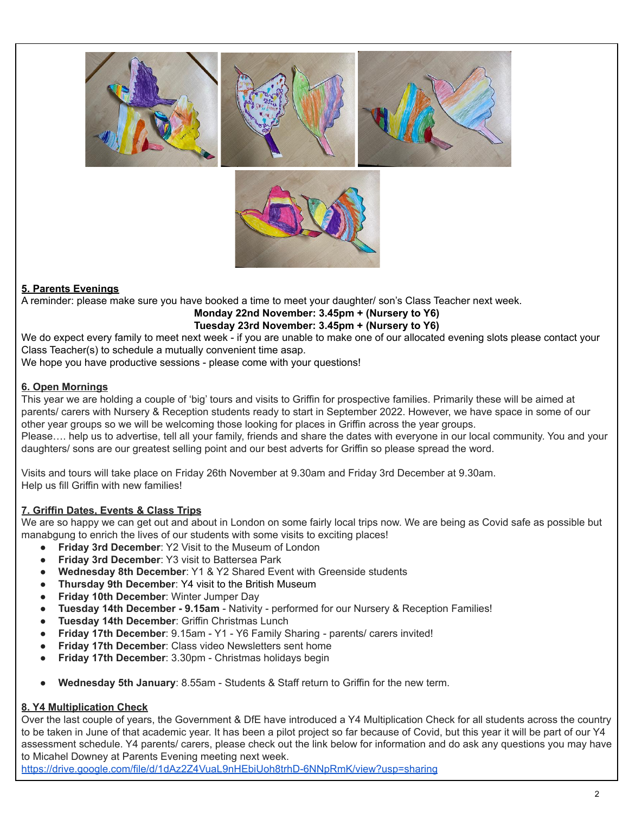

# **5. Parents Evenings**

A reminder: please make sure you have booked a time to meet your daughter/ son's Class Teacher next week.

# **Monday 22nd November: 3.45pm + (Nursery to Y6) Tuesday 23rd November: 3.45pm + (Nursery to Y6)**

We do expect every family to meet next week - if you are unable to make one of our allocated evening slots please contact your Class Teacher(s) to schedule a mutually convenient time asap.

We hope you have productive sessions - please come with your questions!

# **6. Open Mornings**

This year we are holding a couple of 'big' tours and visits to Griffin for prospective families. Primarily these will be aimed at parents/ carers with Nursery & Reception students ready to start in September 2022. However, we have space in some of our other year groups so we will be welcoming those looking for places in Griffin across the year groups.

Please…. help us to advertise, tell all your family, friends and share the dates with everyone in our local community. You and your daughters/ sons are our greatest selling point and our best adverts for Griffin so please spread the word.

Visits and tours will take place on Friday 26th November at 9.30am and Friday 3rd December at 9.30am. Help us fill Griffin with new families!

# **7. Griffin Dates, Events & Class Trips**

We are so happy we can get out and about in London on some fairly local trips now. We are being as Covid safe as possible but manabgung to enrich the lives of our students with some visits to exciting places!

- **Friday 3rd December**: Y2 Visit to the Museum of London
- **Friday 3rd December: Y3 visit to Battersea Park**
- **Wednesday 8th December**: Y1 & Y2 Shared Event with Greenside students
- **Thursday 9th December**: Y4 visit to the British Museum
- **Friday 10th December**: Winter Jumper Day
- **Tuesday 14th December - 9.15am** Nativity performed for our Nursery & Reception Families!
- **Tuesday 14th December**: Griffin Christmas Lunch
- **Friday 17th December**: 9.15am Y1 Y6 Family Sharing parents/ carers invited!
- **Friday 17th December:** Class video Newsletters sent home
- **Friday 17th December**: 3.30pm Christmas holidays begin
- **Wednesday 5th January**: 8.55am Students & Staff return to Griffin for the new term.

# **8. Y4 Multiplication Check**

Over the last couple of years, the Government & DfE have introduced a Y4 Multiplication Check for all students across the country to be taken in June of that academic year. It has been a pilot project so far because of Covid, but this year it will be part of our Y4 assessment schedule. Y4 parents/ carers, please check out the link below for information and do ask any questions you may have to Micahel Downey at Parents Evening meeting next week.

<https://drive.google.com/file/d/1dAz2Z4VuaL9nHEbiUoh8trhD-6NNpRmK/view?usp=sharing>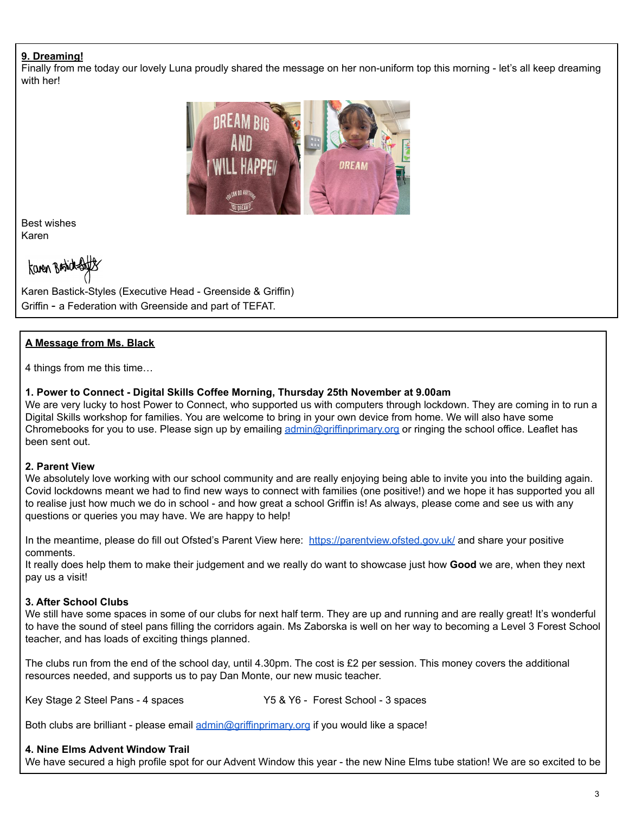# **9. Dreaming!**

Finally from me today our lovely Luna proudly shared the message on her non-uniform top this morning - let's all keep dreaming with her!



Best wishes Karen

kanen Broidt

Karen Bastick-Styles (Executive Head - Greenside & Griffin) Griffin - a Federation with Greenside and part of TEFAT.

# **A Message from Ms. Black**

4 things from me this time…

# **1. Power to Connect - Digital Skills Coffee Morning, Thursday 25th November at 9.00am**

We are very lucky to host Power to Connect, who supported us with computers through lockdown. They are coming in to run a Digital Skills workshop for families. You are welcome to bring in your own device from home. We will also have some Chromebooks for you to use. Please sign up by emailing [admin@griffinprimary.org](mailto:admin@griffinprimary.org) or ringing the school office. Leaflet has been sent out.

# **2. Parent View**

We absolutely love working with our school community and are really enjoying being able to invite you into the building again. Covid lockdowns meant we had to find new ways to connect with families (one positive!) and we hope it has supported you all to realise just how much we do in school - and how great a school Griffin is! As always, please come and see us with any questions or queries you may have. We are happy to help!

In the meantime, please do fill out Ofsted's Parent View here: <https://parentview.ofsted.gov.uk/> and share your positive comments.

It really does help them to make their judgement and we really do want to showcase just how **Good** we are, when they next pay us a visit!

# **3. After School Clubs**

We still have some spaces in some of our clubs for next half term. They are up and running and are really great! It's wonderful to have the sound of steel pans filling the corridors again. Ms Zaborska is well on her way to becoming a Level 3 Forest School teacher, and has loads of exciting things planned.

The clubs run from the end of the school day, until 4.30pm. The cost is £2 per session. This money covers the additional resources needed, and supports us to pay Dan Monte, our new music teacher.

Key Stage 2 Steel Pans - 4 spaces Y5 & Y6 - Forest School - 3 spaces

Both clubs are brilliant - please email [admin@griffinprimary.org](mailto:admin@griffinprimary.org) if you would like a space!

# **4. Nine Elms Advent Window Trail**

We have secured a high profile spot for our Advent Window this year - the new Nine Elms tube station! We are so excited to be